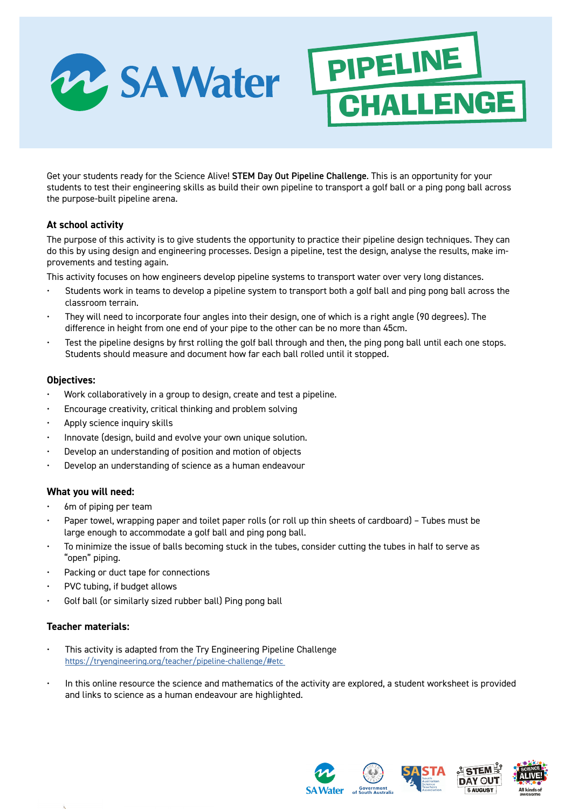

Get your students ready for the Science Alive! STEM Day Out Pipeline Challenge. This is an opportunity for your students to test their engineering skills as build their own pipeline to transport a golf ball or a ping pong ball across the purpose-built pipeline arena.

PIPELINE

CHALLENGE

# **At school activity**

The purpose of this activity is to give students the opportunity to practice their pipeline design techniques. They can do this by using design and engineering processes. Design a pipeline, test the design, analyse the results, make improvements and testing again.

This activity focuses on how engineers develop pipeline systems to transport water over very long distances.

- Students work in teams to develop a pipeline system to transport both a golf ball and ping pong ball across the classroom terrain.
- They will need to incorporate four angles into their design, one of which is a right angle (90 degrees). The difference in height from one end of your pipe to the other can be no more than 45cm.
- Test the pipeline designs by first rolling the golf ball through and then, the ping pong ball until each one stops. Students should measure and document how far each ball rolled until it stopped.

# **Objectives:**

- Work collaboratively in a group to design, create and test a pipeline.
- Encourage creativity, critical thinking and problem solving
- Apply science inquiry skills
- Innovate (design, build and evolve your own unique solution.
- Develop an understanding of position and motion of objects
- Develop an understanding of science as a human endeavour

# **What you will need:**

- 6m of piping per team
- Paper towel, wrapping paper and toilet paper rolls (or roll up thin sheets of cardboard) Tubes must be large enough to accommodate a golf ball and ping pong ball.
- To minimize the issue of balls becoming stuck in the tubes, consider cutting the tubes in half to serve as "open" piping.
- Packing or duct tape for connections
- PVC tubing, if budget allows
- Golf ball (or similarly sized rubber ball) Ping pong ball

# **Teacher materials:**

- This activity is adapted from the Try Engineering Pipeline Challenge [https://tryengineering.org/teacher/pipeline-challenge/#etc](https://tryengineering.org/teacher/pipeline-challenge/#etc )
- In this online resource the science and mathematics of the activity are explored, a student worksheet is provided and links to science as a human endeavour are highlighted.